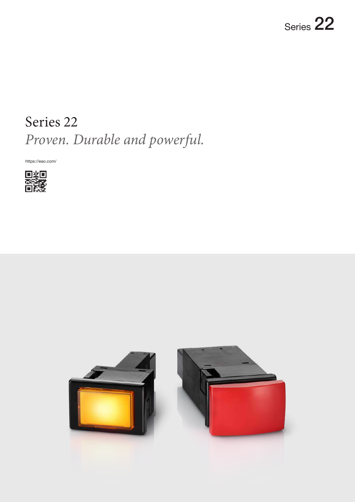# Series 22 *Proven. Durable and powerful.*

https://eao.com/



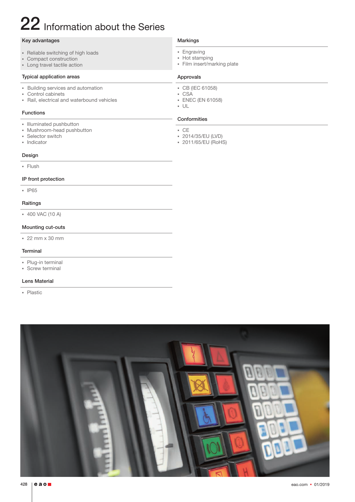# 22 Information about the Series

### Key advantages

- Reliable switching of high loads
- Compact construction
- **Exercise Long travel tactile action**

### Typical application areas

- **Building services and automation**
- Control cabinets
- Rail, electrical and waterbound vehicles

### Functions

- § Illuminated pushbutton
- **Mushroom-head pushbutton**
- Selector switch
- Indicator

#### Design

§ Flush

### IP front protection

§ IP65

# Raitings

§ 400 VAC (10 A)

### Mounting cut-outs

 $\approx$  22 mm x 30 mm

### **Terminal**

- Plug-in terminal
- Screw terminal

### Lens Material

§ Plastic

#### Markings

- Engraving
- § Hot stamping
- Film insert/marking plate

#### Approvals

- § CB (IEC 61058)
- CSA § ENEC (EN 61058)
- § UL
- 

### Conformities

- § CE
- § 2014/35/EU (LVD)
- § 2011/65/EU (RoHS)

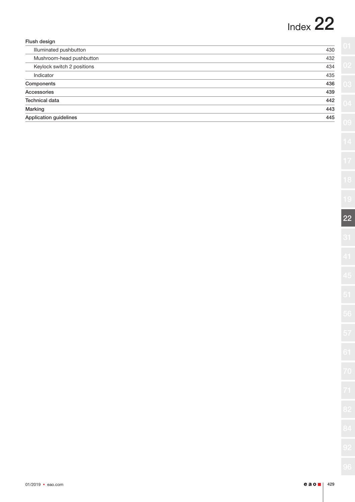# Index 22

| Flush design               |     |
|----------------------------|-----|
| Illuminated pushbutton     | 430 |
| Mushroom-head pushbutton   | 432 |
| Keylock switch 2 positions | 434 |
| Indicator                  | 435 |
| Components                 | 436 |
| Accessories                | 439 |
| <b>Technical data</b>      | 442 |
| Marking                    | 443 |
| Application guidelines     | 445 |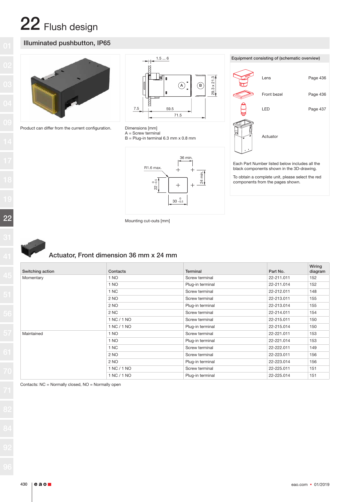### Illuminated pushbutton, IP65



Product can differ from the current configuration.





B = Plug-in terminal 6.3 mm x 0.8 mm





Mounting cut-outs [mm]

### Actuator, Front dimension 36 mm x 24 mm

| Switching action | Contacts    | Terminal         | Part No.   | Wiring<br>diagram |
|------------------|-------------|------------------|------------|-------------------|
| Momentary        | 1 NO        | Screw terminal   | 22-211.011 | 152               |
|                  | 1 NO        | Plug-in terminal | 22-211.014 | 152               |
|                  | 1 NC        | Screw terminal   | 22-212.011 | 148               |
|                  | 2 NO        | Screw terminal   | 22-213.011 | 155               |
|                  | 2 NO        | Plug-in terminal | 22-213.014 | 155               |
|                  | 2 NC        | Screw terminal   | 22-214.011 | 154               |
|                  | 1 NC / 1 NO | Screw terminal   | 22-215.011 | 150               |
|                  | 1 NC / 1 NO | Plug-in terminal | 22-215.014 | 150               |
| Maintained       | 1 NO        | Screw terminal   | 22-221.011 | 153               |
|                  | 1 NO        | Plug-in terminal | 22-221.014 | 153               |
|                  | 1 NC        | Screw terminal   | 22-222.011 | 149               |
|                  | 2 NO        | Screw terminal   | 22-223.011 | 156               |
|                  | 2 NO        | Plug-in terminal | 22-223.014 | 156               |
|                  | 1 NC / 1 NO | Screw terminal   | 22-225.011 | 151               |
|                  | 1 NC / 1 NO | Plug-in terminal | 22-225.014 | 151               |

Contacts: NC = Normally closed, NO = Normally open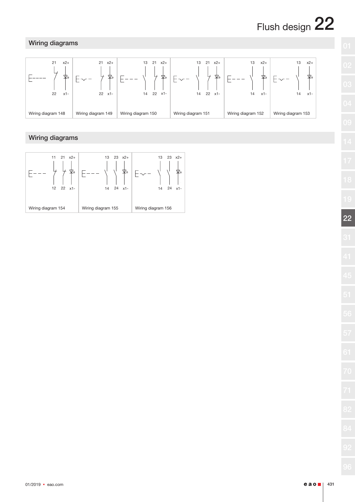# Wiring diagrams



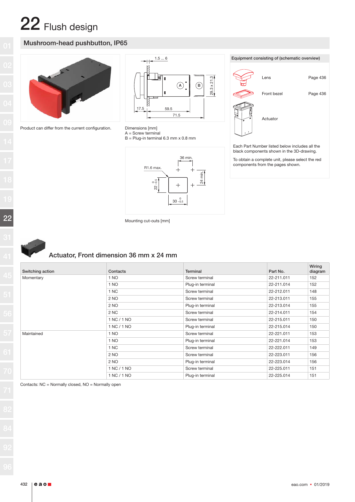# Mushroom-head pushbutton, IP65



Product can differ from the current configuration.





 $A =$  Screw terminal

B = Plug-in terminal 6.3 mm x 0.8 mm





Each Part Number listed below includes all the black components shown in the 3D-drawing.

To obtain a complete unit, please select the red components from the pages shown.

| Mounting cut-outs [mm] |  |  |
|------------------------|--|--|
|------------------------|--|--|



# Actuator, Front dimension 36 mm x 24 mm

| Switching action | Contacts    | Terminal         | Part No.   | Wiring<br>diagram |
|------------------|-------------|------------------|------------|-------------------|
| Momentary        | 1 NO        | Screw terminal   | 22-211.011 | 152               |
|                  | 1 NO        | Plug-in terminal | 22-211.014 | 152               |
|                  | 1 NC        | Screw terminal   | 22-212.011 | 148               |
|                  | 2 NO        | Screw terminal   | 22-213.011 | 155               |
|                  | 2 NO        | Plug-in terminal | 22-213.014 | 155               |
|                  | 2 NC        | Screw terminal   | 22-214.011 | 154               |
|                  | 1 NC / 1 NO | Screw terminal   | 22-215.011 | 150               |
|                  | 1 NC / 1 NO | Plug-in terminal | 22-215.014 | 150               |
| Maintained       | 1 NO        | Screw terminal   | 22-221.011 | 153               |
|                  | 1 NO        | Plug-in terminal | 22-221.014 | 153               |
|                  | 1 NC        | Screw terminal   | 22-222.011 | 149               |
|                  | 2 NO        | Screw terminal   | 22-223.011 | 156               |
|                  | 2 NO        | Plug-in terminal | 22-223.014 | 156               |
|                  | 1 NC / 1 NO | Screw terminal   | 22-225.011 | 151               |
|                  | 1 NC / 1 NO | Plug-in terminal | 22-225.014 | 151               |

Contacts: NC = Normally closed, NO = Normally open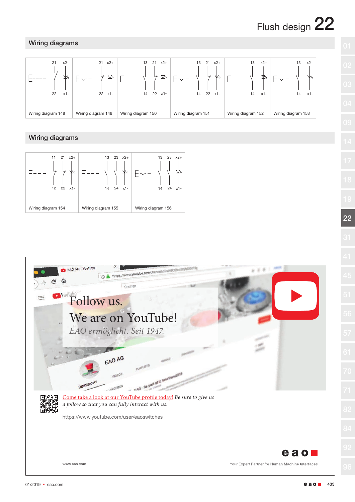# Wiring diagrams





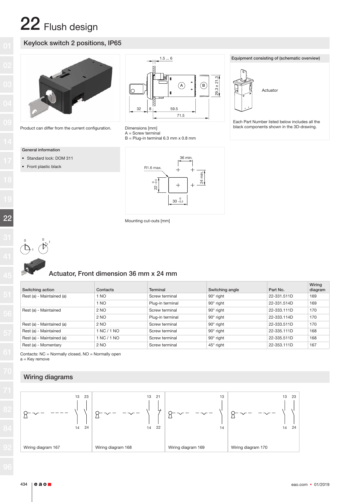# Keylock switch 2 positions, IP65



Product can differ from the current configuration.

#### General information

- Standard lock: DOM 311
- Front plastic black



Equipment consisting of (schematic overview)

Actuator

Each Part Number listed below includes all the



B = Plug-in terminal 6.3 mm x 0.8 mm



Mounting cut-outs [mm]



# Actuator, Front dimension 36 mm x 24 mm

| Switching action          | Contacts    | Terminal         | Switching angle  | Part No.    | Wiring<br>diagram |
|---------------------------|-------------|------------------|------------------|-------------|-------------------|
| Rest (a) - Maintained (a) | 1 NO        | Screw terminal   | $90^\circ$ right | 22-331.511D | 169               |
|                           | 1 NO        | Plug-in terminal | $90^\circ$ right | 22-331.514D | 169               |
| Rest (a) - Maintained     | 2 NO        | Screw terminal   | $90^\circ$ right | 22-333.111D | 170               |
|                           | 2 NO        | Plug-in terminal | $90^\circ$ right | 22-333.114D | 170               |
| Rest (a) - Maintained (a) | 2 NO        | Screw terminal   | $90^\circ$ right | 22-333.511D | 170               |
| Rest (a) - Maintained     | 1 NC / 1 NO | Screw terminal   | $90^\circ$ right | 22-335.111D | 168               |
| Rest (a) - Maintained (a) | 1 NC / 1 NO | Screw terminal   | $90^\circ$ right | 22-335.511D | 168               |
| Rest (a) - Momentary      | 2 NO        | Screw terminal   | $45^\circ$ right | 22-353.111D | 167               |

Contacts: NC = Normally closed, NO = Normally open a = Key remove

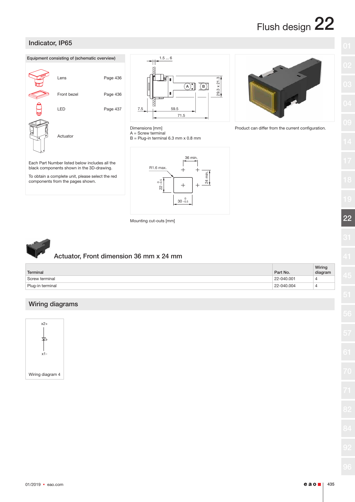Product can differ from the current configuration.

22



#### $01/2019$  • eao.com **e ao**  $\blacksquare$  | 435



black components shown in the 3D-drawing. To obtain a complete unit, please select the red

components from the pages shown.

Indicator, IP65

 $1.5...6$  $29.3 \times 21.3$ l n 29.3 x 21.3  $\boxed{A}$   $\boxed{B}$ V 59.5 7.5 71.5



B = Plug-in terminal 6.3 mm x 0.8 mm



Mounting cut-outs [mm]



## Actuator, Front dimension 36 mm x 24 mm

| Terminal         | Part No.       | Wiring<br>diagram |
|------------------|----------------|-------------------|
| Screw terminal   | 22-040.001     | ↵                 |
| Plug-in terminal | $22 - 040.004$ | ↵                 |

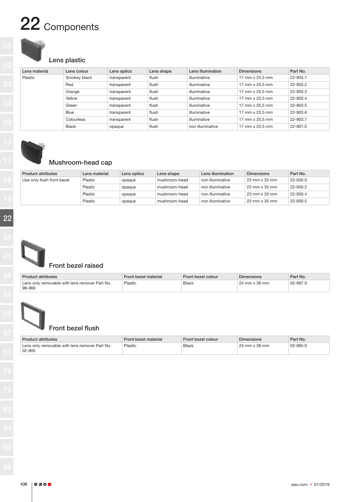# 22 Components

# Lens plastic

| Lens material | Lens colour  | Lens optics | Lens shape | Lens illumination | <b>Dimensions</b> | Part No. |
|---------------|--------------|-------------|------------|-------------------|-------------------|----------|
| Plastic       | Smokey black | transparent | flush      | illuminative      | 17 mm x 25.5 mm   | 22-903.1 |
|               | Red          | transparent | flush      | illuminative      | 17 mm x 25,5 mm   | 22-903.2 |
|               | Orange       | transparent | flush      | illuminative      | 17 mm x 25.5 mm   | 22-903.3 |
|               | Yellow       | transparent | flush      | illuminative      | 17 mm x 25.5 mm   | 22-903.4 |
|               | Green        | transparent | flush      | illuminative      | 17 mm x 25,5 mm   | 22-903.5 |
|               | <b>Blue</b>  | transparent | flush      | illuminative      | 17 mm x 25,5 mm   | 22-903.6 |
|               | Colourless   | transparent | flush      | illuminative      | 17 mm x 25,5 mm   | 22-903.7 |
|               | <b>Black</b> | opaque      | flush      | non illuminative  | 17 mm x 25,5 mm   | 22-901.0 |



# Mushroom-head cap

| Product attributes         | Lens material | Lens optics | Lens shape    | Lens illumination | <b>Dimensions</b>      | Part No. |
|----------------------------|---------------|-------------|---------------|-------------------|------------------------|----------|
| Use only flush front bezel | Plastic       | opaque      | mushroom-head | non illuminative  | 23 mm x 35 mm          | 22-930.0 |
|                            | Plastic       | opaque      | mushroom-head | non illuminative  | $23$ mm $\times$ 35 mm | 22-930.2 |
|                            | Plastic       | opaque      | mushroom-head | non illuminative  | 23 mm x 35 mm          | 22-930.4 |
|                            | Plastic       | opaque      | mushroom-head | non illuminative  | $23$ mm $\times$ 35 mm | 22-930.5 |



# Front bezel raised

| <b>Product attributes</b>                                | Front bezel material | Front bezel colour | Dimensions                           | Part No. |
|----------------------------------------------------------|----------------------|--------------------|--------------------------------------|----------|
| Lens only removable with lens remover Part No.<br>98-969 | Plastic              | <b>Black</b>       | $24 \text{ mm} \times 36 \text{ mm}$ | 02-967.0 |



# Front bezel flush

| <b>Product attributes</b>                                | Front bezel material | Front bezel colour | <b>Dimensions</b> | Part No. |
|----------------------------------------------------------|----------------------|--------------------|-------------------|----------|
| Lens only removable with lens remover Part No.<br>02-905 | Plastic              | <b>Black</b>       | 24 mm x 36 mm     | 02-965.0 |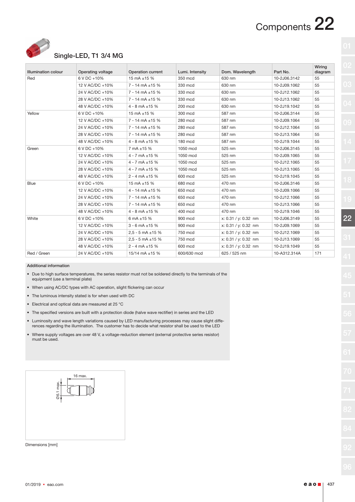# Components 22



# Single-LED, T1 3/4 MG

| <b>Illumination colour</b> | Operating voltage | <b>Operation current</b> | Lumi. Intensity | Dom. Wavelength      | Part No.     | Wiring<br>diagram |
|----------------------------|-------------------|--------------------------|-----------------|----------------------|--------------|-------------------|
| Red                        | 6 V DC +10%       | 15 mA $\pm$ 15 %         | 350 mcd         | 630 nm               | 10-2J06.3142 | 55                |
|                            | 12 V AC/DC +10%   | $7 - 14$ mA $\pm 15$ %   | 330 mcd         | 630 nm               | 10-2J09.1062 | 55                |
|                            | 24 V AC/DC +10%   | $7 - 14$ mA $\pm 15$ %   | 330 mcd         | 630 nm               | 10-2J12.1062 | 55                |
|                            | 28 V AC/DC +10%   | $7 - 14$ mA $\pm 15$ %   | 330 mcd         | 630 nm               | 10-2J13.1062 | 55                |
|                            | 48 V AC/DC +10%   | $4 - 8$ mA $\pm 15$ %    | 200 mcd         | 630 nm               | 10-2J19.1042 | 55                |
| Yellow                     | 6 V DC +10%       | 15 mA $\pm$ 15 %         | 300 mcd         | 587 nm               | 10-2J06.3144 | 55                |
|                            | 12 V AC/DC +10%   | $7 - 14$ mA $\pm 15$ %   | 280 mcd         | 587 nm               | 10-2J09.1064 | 55                |
|                            | 24 V AC/DC +10%   | $7 - 14$ mA $\pm 15$ %   | 280 mcd         | 587 nm               | 10-2J12.1064 | 55                |
|                            | 28 V AC/DC +10%   | $7 - 14$ mA $\pm 15$ %   | 280 mcd         | 587 nm               | 10-2J13.1064 | 55                |
|                            | 48 V AC/DC +10%   | $4 - 8$ mA $\pm 15$ %    | 180 mcd         | 587 nm               | 10-2J19.1044 | 55                |
| Green                      | 6 V DC +10%       | 7 mA ±15 %               | 1050 mcd        | 525 nm               | 10-2J06.3145 | 55                |
|                            | 12 V AC/DC +10%   | $4 - 7$ mA $\pm 15$ %    | 1050 mcd        | 525 nm               | 10-2J09.1065 | 55                |
|                            | 24 V AC/DC +10%   | $4 - 7$ mA $\pm 15$ %    | 1050 mcd        | 525 nm               | 10-2J12.1065 | 55                |
|                            | 28 V AC/DC +10%   | $4 - 7$ mA $\pm 15$ %    | 1050 mcd        | 525 nm               | 10-2J13.1065 | 55                |
|                            | 48 V AC/DC +10%   | $2 - 4$ mA $\pm 15$ %    | 600 mcd         | 525 nm               | 10-2J19.1045 | 55                |
| <b>Blue</b>                | 6 V DC +10%       | 15 mA ±15 %              | 680 mcd         | 470 nm               | 10-2J06.3146 | 55                |
|                            | 12 V AC/DC +10%   | $4 - 14$ mA $\pm 15$ %   | 650 mcd         | 470 nm               | 10-2J09.1066 | 55                |
|                            | 24 V AC/DC +10%   | $7 - 14$ mA $\pm 15$ %   | 650 mcd         | 470 nm               | 10-2J12.1066 | 55                |
|                            | 28 V AC/DC +10%   | $7 - 14$ mA $\pm 15$ %   | 650 mcd         | 470 nm               | 10-2J13.1066 | 55                |
|                            | 48 V AC/DC +10%   | $4 - 8$ mA $\pm 15$ %    | 400 mcd         | 470 nm               | 10-2J19.1046 | 55                |
| White                      | 6 V DC +10%       | 6 mA $\pm 15$ %          | 900 mcd         | x: 0.31 / y: 0.32 nm | 10-2J06.3149 | 55                |
|                            | 12 V AC/DC +10%   | $3 - 6$ mA $\pm 15$ %    | 900 mcd         | x: 0.31 / y: 0.32 nm | 10-2J09.1069 | 55                |
|                            | 24 V AC/DC +10%   | $2.5 - 5$ mA $\pm 15$ %  | 750 mcd         | x: 0.31 / y: 0.32 nm | 10-2J12.1069 | 55                |
|                            | 28 V AC/DC +10%   | $2.5 - 5$ mA $\pm 15$ %  | 750 mcd         | x: 0.31 / y: 0.32 nm | 10-2J13.1069 | 55                |
|                            | 48 V AC/DC +10%   | $2 - 4$ mA $\pm 15$ %    | 600 mcd         | x: 0.31 / y: 0.32 nm | 10-2J19.1049 | 55                |
| Red / Green                | 24 V AC/DC +10%   | 15/14 mA $\pm$ 15 %      | 600/630 mcd     | 625 / 525 nm         | 10-A312.314A | 171               |

Additional information

- Due to high surface temperatures, the series resistor must not be soldered directly to the terminals of the equipment (use a terminal plate)
- When using AC/DC types with AC operation, slight flickering can occur
- The luminous intensity stated is for when used with DC
- Electrical and optical data are measured at 25 °C
- The specified versions are built with a protection diode (halve wave rectifier) in series and the LED
- Luminosity and wave length variations caused by LED manufacturing processes may cause slight differences regarding the illumination. The customer has to decide what resistor shall be used to the LED
- Where supply voltages are over 48 V, a voltage-reduction element (external protective series resistor) must be used.



Dimensions [mm]

22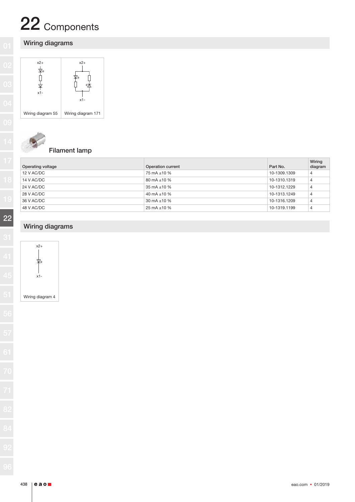# 22 Components

# Wiring diagrams





# Filament lamp

| Operating voltage | Operation current | Part No.     | Wiring<br>diagram |
|-------------------|-------------------|--------------|-------------------|
| 12 V AC/DC        | 75 mA ±10 %       | 10-1309.1309 | $\overline{4}$    |
| 14 V AC/DC        | 80 mA $\pm$ 10 %  | 10-1310.1319 | 4                 |
| 24 V AC/DC        | 35 mA $\pm$ 10 %  | 10-1312.1229 | $\overline{4}$    |
| 28 V AC/DC        | 40 mA $\pm$ 10 %  | 10-1313.1249 | 4                 |
| 36 V AC/DC        | 30 mA $\pm$ 10 %  | 10-1316.1209 | 4                 |
| 48 V AC/DC        | 25 mA $\pm$ 10 %  | 10-1319.1199 | $\overline{4}$    |

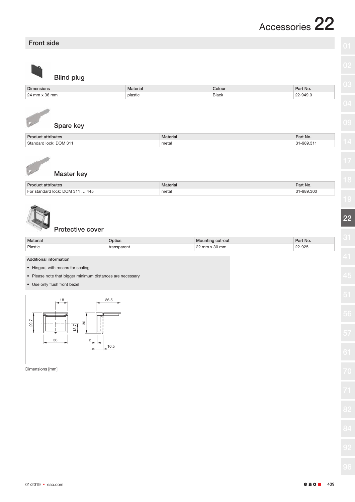# Front side

| ı            | ٦      | ï             |  |
|--------------|--------|---------------|--|
| ۱            |        |               |  |
| ٠<br>s       |        |               |  |
| 53<br>ı<br>٦ | í      |               |  |
|              | ×<br>÷ | ï<br>×<br>×., |  |

Blind plug

| Dimensions                 | Materia | Colour     | Part No.                            |
|----------------------------|---------|------------|-------------------------------------|
| $\Omega$<br>m <sub>2</sub> | plastic | Black<br>. | 949<br>⊦J.∪<br>$\sim$ $\sim$ $\sim$ |



|  | Spare key |  |
|--|-----------|--|

| Dr <sub>0</sub><br>ttributes | Material | Part No.                            |
|------------------------------|----------|-------------------------------------|
| Standard lock: DOM 31        | metal    | $\sim$<br>989.<br>$\sim$<br>ວບວ.ບ ⊢ |



# Master key

| Prodi<br>attributes                                   | Material | Dort Nr<br>arthvo. |
|-------------------------------------------------------|----------|--------------------|
| 445<br>Llock: DOM 31<br>standard<br>$\cdot\cdot\cdot$ | metal    | $-989.300$         |



#### Protective cover

| <b>Material</b> | otics | -out<br> | nt No. |
|-----------------|-------|----------|--------|
| Plastic         |       | mm       | -925   |
|                 |       |          |        |

#### Additional information

- Hinged, with means for sealing
- Please note that bigger minimum distances are necessary
- Use only flush front bezel



Dimensions [mm]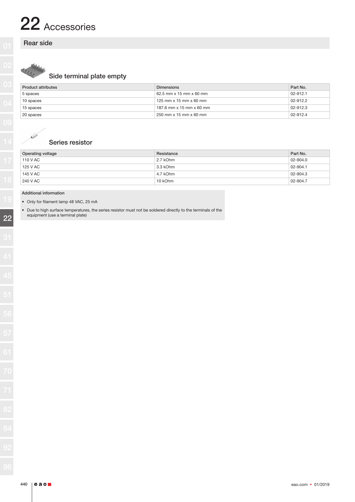# 22 Accessories

### Rear side



# Side terminal plate empty

| <b>Product attributes</b> | <b>Dimensions</b>                      | Part No. |
|---------------------------|----------------------------------------|----------|
| 5 spaces                  | 62.5 mm $\times$ 15 mm $\times$ 60 mm  | 02-912.1 |
| 10 spaces                 | 125 mm $\times$ 15 mm $\times$ 60 mm   | 02-912.2 |
| 15 spaces                 | 187.6 mm $\times$ 15 mm $\times$ 60 mm | 02-912.3 |
| 20 spaces                 | 250 mm x 15 mm x 60 mm                 | 02-912.4 |

### Series resistor

| <b>Operating voltage</b> | Resistance | Part No. |
|--------------------------|------------|----------|
| 110 V AC                 | 2.7 kOhm   | 02-904.0 |
| 125 V AC                 | 3.3 kOhm   | 02-904.1 |
| 145 V AC                 | 4.7 kOhm   | 02-904.3 |
| 240 V AC                 | 10 kOhm    | 02-904.7 |

#### Additional information

• Only for filament lamp 48 VAC, 25 mA

• Due to high surface temperatures, the series resistor must not be soldered directly to the terminals of the equipment (use a terminal plate)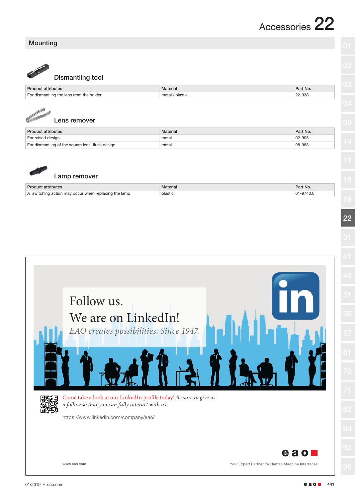# Accessories 22

# Mounting

Dismantling tool

|                                                | Material             | Part No. |
|------------------------------------------------|----------------------|----------|
| i the holder<br>tr <sub>m</sub><br>diemantling | ' plastic<br>metal / | 22-938   |



|  | Lens remover |
|--|--------------|
|--|--------------|

| <b>Product attributes</b>                        | Material | Part No. |
|--------------------------------------------------|----------|----------|
| For raised design                                | metal    | 02-905   |
| For dismantling of the square lens, flush design | metal    | 98-968   |



# Lamp remover

| <b>Product attributes</b>                            | <b>Material</b> | Part No.  |
|------------------------------------------------------|-----------------|-----------|
| A switching action may occur when replacing the lamp | plastic         | 61-9740.0 |

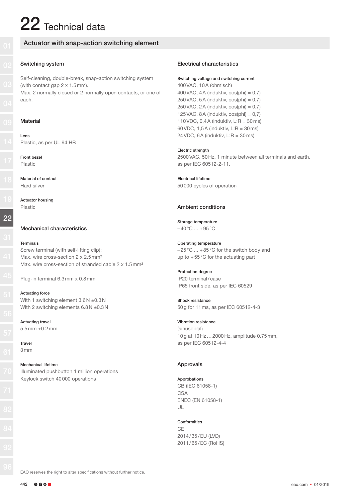# $22$  Technical data

### Actuator with snap-action switching element

#### Switching system

Self-cleaning, double-break, snap-action switching system (with contact gap 2 x 1.5mm). Max. 2 normally closed or 2 normally open contacts, or one of each.

#### Material

Lens Plastic, as per UL 94 HB

Front bezel Plastic

Material of contact Hard silver

Actuator housing Plastic

#### Mechanical characteristics

#### Terminals

Screw terminal (with self-lifting clip): Max. wire cross-section 2 x 2.5 mm<sup>2</sup> Max, wire cross-section of stranded cable 2 x 1.5 mm<sup>2</sup>

Plug-in terminal 6.3mm x 0.8mm

Actuating force With 1 switching element  $3.6N + 0.3N$ With 2 switching elements  $6.8N + 0.3N$ 

Actuating travel 5.5mm ±0.2mm

Travel 3mm

#### Mechanical lifetime

Illuminated pushbutton 1 million operations Keylock switch 40000 operations

#### Electrical characteristics

#### Switching voltage and switching current

400VAC, 10A (ohmisch) 400 VAC, 4 A (induktiv,  $cos(\pi h) = 0.7$ ) 250 VAC, 5A (induktiv,  $cos(\phi h) = 0.7$ ) 250 VAC, 2A (induktiv,  $cos(\phi h) = 0.7$ ) 125 VAC, 8 A (induktiv,  $cos(\pi h) = 0.7$ ) 110 VDC,  $0,4A$  (induktiv,  $L:R = 30$  ms) 60 VDC,  $1.5A$  (induktiv,  $L:R = 30$  ms) 24 VDC, 6A (induktiv,  $L:R = 30$  ms)

#### Electric strength

2500VAC, 50Hz, 1 minute between all terminals and earth, as per IEC 60512-2-11.

Electrical lifetime 50000 cycles of operation

#### Ambient conditions

Storage temperature  $-40\,^{\circ}\text{C}$  ... +95 $^{\circ}\text{C}$ 

Operating temperature –25°C ... +85°C for the switch body and up to +55°C for the actuating part

Protection degree IP20 terminal/case IP65 front side, as per IEC 60529

Shock resistance 50g for 11ms, as per IEC 60512-4-3

Vibration resistance (sinusoidal) 10g at 10Hz…2000Hz, amplitude 0.75mm, as per IEC 60512-4-4

#### Approvals

Approbations CB (IEC 61058-1) CSA ENEC (EN 61058-1)  $U$ 

#### Conformities

CE 2014/35/EU (LVD) 2011/65/EC (RoHS)

EAO reserves the right to alter specifications without further notice.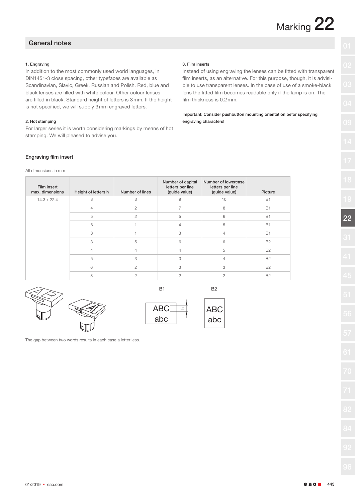### General notes

#### 1. Engraving

In addition to the most commonly used world languages, in DIN1451-3 close spacing, other typefaces are available as Scandinavian, Slavic, Greek, Russian and Polish. Red, blue and black lenses are filled with white colour. Other colour lenses are filled in black. Standard height of letters is 3mm. If the height is not specified, we will supply 3mm engraved letters.

#### 2. Hot stamping

For larger series it is worth considering markings by means of hot stamping. We will pleased to advise you.

#### 3. Film inserts

Instead of using engraving the lenses can be fitted with transparent film inserts, as an alternative. For this purpose, though, it is advisible to use transparent lenses. In the case of use of a smoke-black lens the fitted film becomes readable only if the lamp is on. The film thickness is 0.2mm.

Important: Consider pushbutton mounting orientation befor specifying engraving characters!

#### Engraving film insert

All dimensions in mm

| Film insert<br>max. dimensions | Height of letters h | Number of lines | Number of capital<br>letters per line<br>(guide value) | Number of lowercase<br>letters per line<br>(guide value) | Picture   |
|--------------------------------|---------------------|-----------------|--------------------------------------------------------|----------------------------------------------------------|-----------|
| $14.3 \times 22.4$             | 3                   | 3               | 9                                                      | 10                                                       | <b>B1</b> |
|                                | $\overline{4}$      | $\overline{c}$  | $\overline{7}$                                         | 8                                                        | <b>B1</b> |
|                                | 5                   | $\overline{c}$  | 5                                                      | 6                                                        | <b>B1</b> |
|                                | 6                   |                 | $\overline{4}$                                         | 5                                                        | <b>B1</b> |
|                                | 8                   |                 | 3                                                      | 4                                                        | B1        |
|                                | 3                   | 5               | 6                                                      | 6                                                        | <b>B2</b> |
|                                | $\overline{4}$      | $\overline{4}$  | $\overline{4}$                                         | 5                                                        | <b>B2</b> |
|                                | 5                   | 3               | 3                                                      | 4                                                        | <b>B2</b> |
|                                | 6                   | $\overline{c}$  | 3                                                      | 3                                                        | <b>B2</b> |
|                                | 8                   | $\overline{2}$  | $\overline{c}$                                         | $\overline{c}$                                           | <b>B2</b> |



| ۰ |  |  |
|---|--|--|

B1 B2



ABC abc

The gap between two words results in each case a letter less.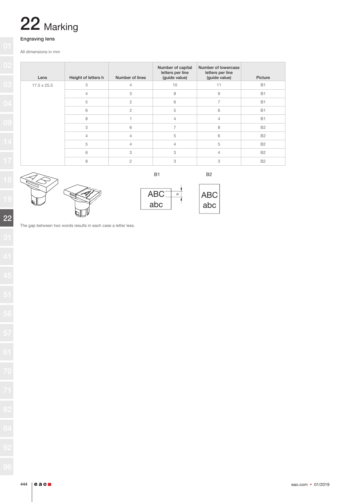

### Engraving lens

All dimensions in mm

| Lens        | Height of letters h | Number of lines | Number of capital<br>letters per line<br>(guide value) | Number of lowercase<br>letters per line<br>(guide value) | Picture   |
|-------------|---------------------|-----------------|--------------------------------------------------------|----------------------------------------------------------|-----------|
| 17.5 x 25.5 | 3                   | $\overline{4}$  | 10                                                     | 11                                                       | <b>B1</b> |
|             | $\overline{4}$      | 3               | 8                                                      | $\mathrel{\mathsf{g}}$                                   | <b>B1</b> |
|             | 5                   | $\overline{c}$  | 6                                                      | 7                                                        | <b>B1</b> |
|             | 6                   | $\overline{2}$  | 5                                                      | 6                                                        | B1        |
|             | 8                   |                 | $\overline{4}$                                         | $\overline{4}$                                           | <b>B1</b> |
|             | 3                   | 6               | $\overline{7}$                                         | 8                                                        | <b>B2</b> |
|             | $\overline{4}$      | $\overline{4}$  | 5                                                      | 6                                                        | <b>B2</b> |
|             | 5                   | $\overline{4}$  | $\overline{4}$                                         | 5                                                        | <b>B2</b> |
|             | 6                   | 3               | 3                                                      | $\overline{4}$                                           | <b>B2</b> |
|             | 8                   | $\overline{2}$  | 3                                                      | 3                                                        | <b>B2</b> |





$$
\fbox{ABC}
$$
abc

B1 B2

The gap between two words results in each case a letter less.